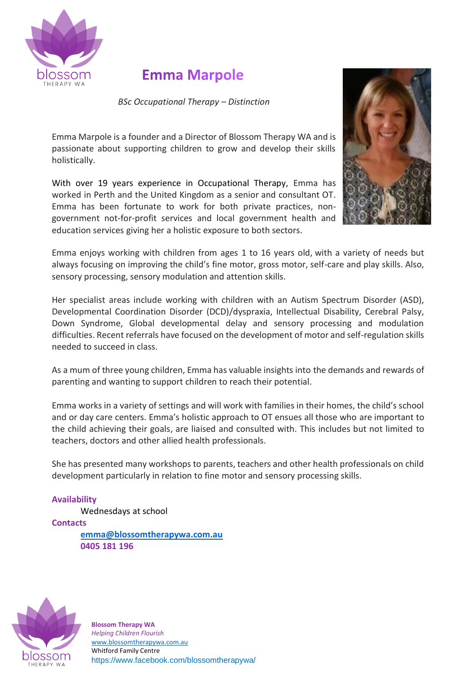

## **Emma Marpole**

*BSc Occupational Therapy – Distinction*

Emma Marpole is a founder and a Director of Blossom Therapy WA and is passionate about supporting children to grow and develop their skills holistically.

With over 19 years experience in Occupational Therapy, Emma has worked in Perth and the United Kingdom as a senior and consultant OT. Emma has been fortunate to work for both private practices, nongovernment not-for-profit services and local government health and education services giving her a holistic exposure to both sectors.



Emma enjoys working with children from ages 1 to 16 years old, with a variety of needs but always focusing on improving the child's fine motor, gross motor, self-care and play skills. Also, sensory processing, sensory modulation and attention skills.

Her specialist areas include working with children with an Autism Spectrum Disorder (ASD), Developmental Coordination Disorder (DCD)/dyspraxia, Intellectual Disability, Cerebral Palsy, Down Syndrome, Global developmental delay and sensory processing and modulation difficulties. Recent referrals have focused on the development of motor and self-regulation skills needed to succeed in class.

As a mum of three young children, Emma has valuable insights into the demands and rewards of parenting and wanting to support children to reach their potential.

Emma works in a variety of settings and will work with families in their homes, the child's school and or day care centers. Emma's holistic approach to OT ensues all those who are important to the child achieving their goals, are liaised and consulted with. This includes but not limited to teachers, doctors and other allied health professionals.

She has presented many workshops to parents, teachers and other health professionals on child development particularly in relation to fine motor and sensory processing skills.

## **Availability**

Wednesdays at school

**Contacts** 

**[emma@blossomtherapywa.com.au](mailto:emma@blossomtherapywa.com.au) 0405 181 196**



**Blossom Therapy WA** *Helping Children Flourish* [www.blossomtherapywa.com.au](http://www.blossomtherapywa.com.au/) Whitford Family Centre https://www.facebook.com/blossomtherapywa/